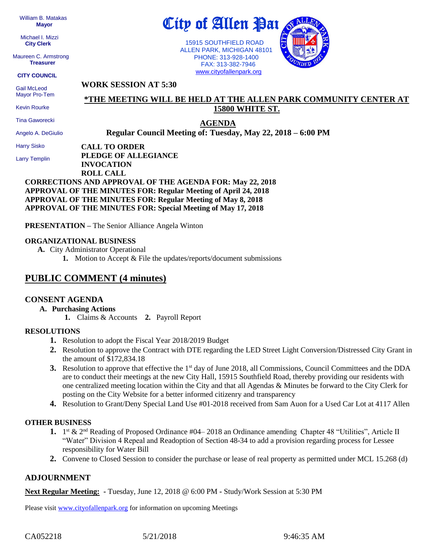William B. Matakas  **Mayor**

 Michael I. Mizzi **City Clerk**

Maureen C. Armstrong **Treasurer**

**CITY COUNCIL**

 Gail McLeod Mayor Pro-Tem

Kevin Rourke

Tina Gaworecki

Angelo A. DeGiulio

Harry Sisko

Larry Templin

City of Allen Par

 15915 SOUTHFIELD ROAD ALLEN PARK, MICHIGAN 48101 PHONE: 313-928-1400 FAX: 313-382-7946 [www.cityofallenpark.org](http://www.cityofallenpark.org/)



## **WORK SESSION AT 5:30**

# **\*THE MEETING WILL BE HELD AT THE ALLEN PARK COMMUNITY CENTER AT 15800 WHITE ST.**

**AGENDA Regular Council Meeting of: Tuesday, May 22, 2018 – 6:00 PM** 

**CALL TO ORDER PLEDGE OF ALLEGIANCE INVOCATION ROLL CALL**

## **CORRECTIONS AND APPROVAL OF THE AGENDA FOR: May 22, 2018 APPROVAL OF THE MINUTES FOR: Regular Meeting of April 24, 2018 APPROVAL OF THE MINUTES FOR: Regular Meeting of May 8, 2018 APPROVAL OF THE MINUTES FOR: Special Meeting of May 17, 2018**

**PRESENTATION –** The Senior Alliance Angela Winton

#### **ORGANIZATIONAL BUSINESS**

**A.** City Administrator Operational **1.** Motion to Accept & File the updates/reports/document submissions

# **PUBLIC COMMENT (4 minutes)**

## **CONSENT AGENDA**

## **A. Purchasing Actions**

**1.** Claims & Accounts **2.** Payroll Report

#### **RESOLUTIONS**

- **1.** Resolution to adopt the Fiscal Year 2018/2019 Budget
- **2.** Resolution to approve the Contract with DTE regarding the LED Street Light Conversion/Distressed City Grant in the amount of \$172,834.18
- **3.** Resolution to approve that effective the 1<sup>st</sup> day of June 2018, all Commissions, Council Committees and the DDA are to conduct their meetings at the new City Hall, 15915 Southfield Road, thereby providing our residents with one centralized meeting location within the City and that all Agendas & Minutes be forward to the City Clerk for posting on the City Website for a better informed citizenry and transparency
- **4.** Resolution to Grant/Deny Special Land Use #01-2018 received from Sam Auon for a Used Car Lot at 4117 Allen

## **OTHER BUSINESS**

- 1. 1<sup>st</sup> & 2<sup>nd</sup> Reading of Proposed Ordinance #04–2018 an Ordinance amending Chapter 48 "Utilities", Article II "Water" Division 4 Repeal and Readoption of Section 48-34 to add a provision regarding process for Lessee responsibility for Water Bill
- **2.** Convene to Closed Session to consider the purchase or lease of real property as permitted under MCL 15.268 (d)

## **ADJOURNMENT**

**Next Regular Meeting: -** Tuesday, June 12, 2018 @ 6:00 PM **-** Study/Work Session at 5:30 PM

Please visit [www.cityofallenpark.org](http://www.cityofallenpark.org/) for information on upcoming Meetings